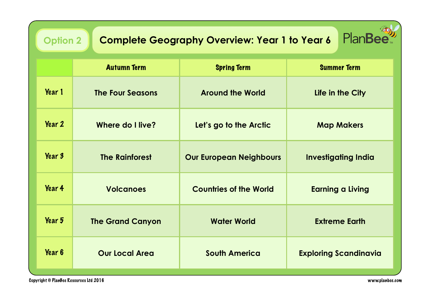| PlanBee<br><b>Complete Geography Overview: Year 1 to Year 6</b><br><b>Option 2</b> |                         |                                |                              |  |  |
|------------------------------------------------------------------------------------|-------------------------|--------------------------------|------------------------------|--|--|
|                                                                                    | <b>Autumn Term</b>      | <b>Spring Term</b>             | <b>Summer Term</b>           |  |  |
| Year 1                                                                             | <b>The Four Seasons</b> | <b>Around the World</b>        | Life in the City             |  |  |
| <b>Year 2</b>                                                                      | Where do I live?        | Let's go to the Arctic         | <b>Map Makers</b>            |  |  |
| Year 3                                                                             | <b>The Rainforest</b>   | <b>Our European Neighbours</b> | <b>Investigating India</b>   |  |  |
| <b>Year 4</b>                                                                      | <b>Volcanoes</b>        | <b>Countries of the World</b>  | <b>Earning a Living</b>      |  |  |
| Year 5                                                                             | <b>The Grand Canyon</b> | <b>Water World</b>             | <b>Extreme Earth</b>         |  |  |
| Year 6                                                                             | <b>Our Local Area</b>   | <b>South America</b>           | <b>Exploring Scandinavia</b> |  |  |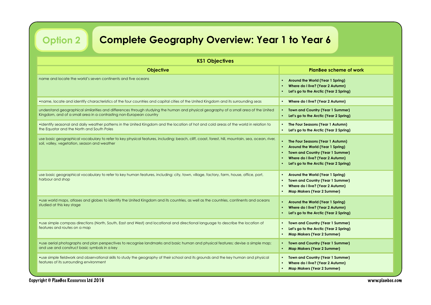**Option 2**

## **Complete Geography Overview: Year 1 to Year 6**

| <b>KS1 Objectives</b>                                                                                                                                                                                      |                                                                                                                                                                                                            |  |  |
|------------------------------------------------------------------------------------------------------------------------------------------------------------------------------------------------------------|------------------------------------------------------------------------------------------------------------------------------------------------------------------------------------------------------------|--|--|
| <b>Objective</b>                                                                                                                                                                                           | <b>PlanBee scheme of work</b>                                                                                                                                                                              |  |  |
| name and locate the world's seven continents and five oceans                                                                                                                                               | Around the World (Year 1 Spring)<br>$\bullet$<br>Where do I live? (Year 2 Autumn)<br>$\bullet$<br>Let's go to the Arctic (Year 2 Spring)                                                                   |  |  |
| . name, locate and identify characteristics of the four countries and capital cities of the United Kingdom and its surrounding seas                                                                        | Where do I live? (Year 2 Autumn)<br>$\bullet$                                                                                                                                                              |  |  |
| understand geographical similarities and differences through studying the human and physical geography of a small area of the United<br>Kingdom, and of a small area in a contrasting non-European country | <b>Town and Country (Year 1 Summer)</b><br>Let's go to the Arctic (Year 2 Spring)                                                                                                                          |  |  |
| • identify seasonal and daily weather patterns in the United Kingdom and the location of hot and cold areas of the world in relation to<br>the Equator and the North and South Poles                       | The Four Seasons (Year 1 Autumn)<br>Let's go to the Arctic (Year 2 Spring)                                                                                                                                 |  |  |
| use basic geographical vocabulary to refer to key physical features, including: beach, cliff, coast, forest, hill, mountain, sea, ocean, river,<br>soil, valley, vegetation, season and weather            | The Four Seasons (Year 1 Autumn)<br>Around the World (Year 1 Spring)<br>$\bullet$<br><b>Town and Country (Year 1 Summer)</b><br>Where do I live? (Year 2 Autumn)<br>Let's go to the Arctic (Year 2 Spring) |  |  |
| use basic geographical vocabulary to refer to key human features, including: city, town, village, factory, farm, house, office, port,<br>harbour and shop                                                  | Around the World (Year 1 Spring)<br><b>Town and Country (Year 1 Summer)</b><br>Where do I live? (Year 2 Autumn)<br><b>Map Makers (Year 2 Summer)</b><br>$\bullet$                                          |  |  |
| . use world maps, atlases and globes to identify the United Kingdom and its countries, as well as the countries, continents and oceans<br>studied at this key stage                                        | Around the World (Year 1 Spring)<br>Where do I live? (Year 2 Autumn)<br>Let's go to the Arctic (Year 2 Spring)                                                                                             |  |  |
| . use simple compass directions (North, South, East and West) and locational and directional language to describe the location of<br>features and routes on a map                                          | <b>Town and Country (Year 1 Summer)</b><br>$\bullet$<br>Let's go to the Arctic (Year 2 Spring)<br>$\bullet$<br><b>Map Makers (Year 2 Summer)</b>                                                           |  |  |
| • use aerial photographs and plan perspectives to recognise landmarks and basic human and physical features; devise a simple map;<br>and use and construct basic symbols in a key                          | <b>Town and Country (Year 1 Summer)</b><br>$\bullet$<br><b>Map Makers (Year 2 Summer)</b>                                                                                                                  |  |  |
| . use simple fieldwork and observational skills to study the geography of their school and its grounds and the key human and physical<br>features of its surrounding environment                           | <b>Town and Country (Year 1 Summer)</b><br>Where do I live? (Year 2 Autumn)<br><b>Map Makers (Year 2 Summer)</b>                                                                                           |  |  |